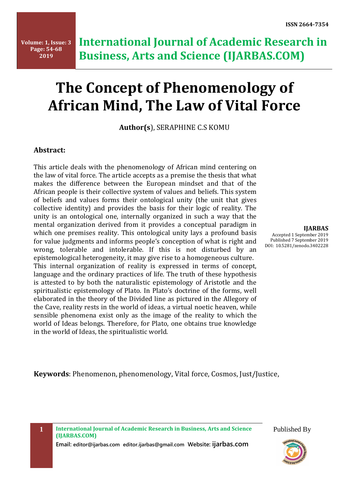# **The Concept of Phenomenology of African Mind, The Law of Vital Force**

**Author(s**), SERAPHINE C.S KOMU

#### **Abstract:**

This article deals with the phenomenology of African mind centering on the law of vital force. The article accepts as a premise the thesis that what makes the difference between the European mindset and that of the African people is their collective system of values and beliefs. This system of beliefs and values forms their ontological unity (the unit that gives collective identity) and provides the basis for their logic of reality. The unity is an ontological one, internally organized in such a way that the mental organization derived from it provides a conceptual paradigm in which one premises reality. This ontological unity lays a profound basis for value judgments and informs people's conception of what is right and wrong, tolerable and intolerable. If this is not disturbed by an epistemological heterogeneity, it may give rise to a homogeneous culture. This internal organization of reality is expressed in terms of concept, language and the ordinary practices of life. The truth of these hypothesis is attested to by both the naturalistic epistemology of Aristotle and the spiritualistic epistemology of Plato. In Plato's doctrine of the forms, well elaborated in the theory of the Divided line as pictured in the Allegory of the Cave, reality rests in the world of ideas, a virtual noetic heaven, while sensible phenomena exist only as the image of the reality to which the world of Ideas belongs. Therefore, for Plato, one obtains true knowledge in the world of Ideas, the spiritualistic world.

**IJARBAS** Accepted 1 September 2019 Published 7 September 2019 DOI: 10.5281/zenodo.3402228

**Keywords**: Phenomenon, phenomenology, Vital force, Cosmos, Just/Justice,

**1 International Journal of Academic Research in Business, Arts and Science (IJARBAS.COM)**

**Email: editor@ijarbas.com editor.ijarbas@gmail.com Website: ijarbas.com** 

Published By

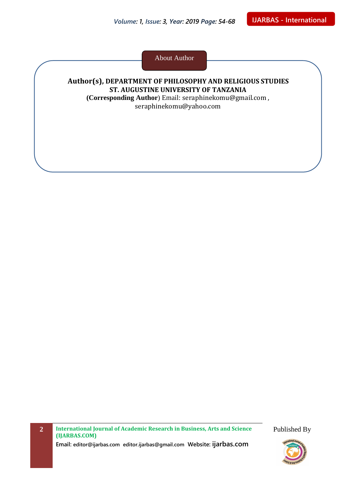About Author

#### **Author(s), DEPARTMENT OF PHILOSOPHY AND RELIGIOUS STUDIES ST. AUGUSTINE UNIVERSITY OF TANZANIA (Corresponding Author**) Email: [seraphinekomu@gmail.com](mailto:seraphinekomu@gmail.com) ,

[seraphinekomu@yahoo.com](mailto:seraphinekomu@yahoo.com)

**2 International Journal of Academic Research in Business, Arts and Science (IJARBAS.COM)**

**Email: editor@ijarbas.com editor.ijarbas@gmail.com Website: ijarbas.com**

Published By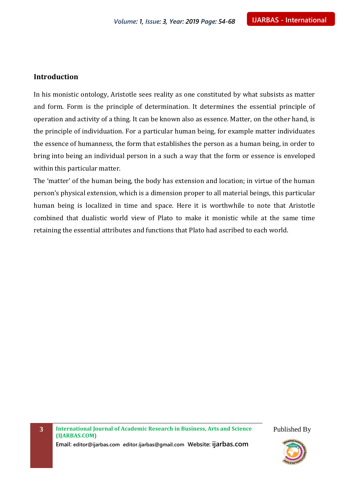#### **Introduction**

In his monistic ontology, Aristotle sees reality as one constituted by what subsists as matter and form. Form is the principle of determination. It determines the essential principle of operation and activity of a thing. It can be known also as essence. Matter, on the other hand, is the principle of individuation. For a particular human being, for example matter individuates the essence of humanness, the form that establishes the person as a human being, in order to bring into being an individual person in a such a way that the form or essence is enveloped within this particular matter.

The 'matter' of the human being, the body has extension and location; in virtue of the human person's physical extension, which is a dimension proper to all material beings, this particular human being is localized in time and space. Here it is worthwhile to note that Aristotle combined that dualistic world view of Plato to make it monistic while at the same time retaining the essential attributes and functions that Plato had ascribed to each world.

**3 International Journal of Academic Research in Business, Arts and Science (IJARBAS.COM)**

Published By

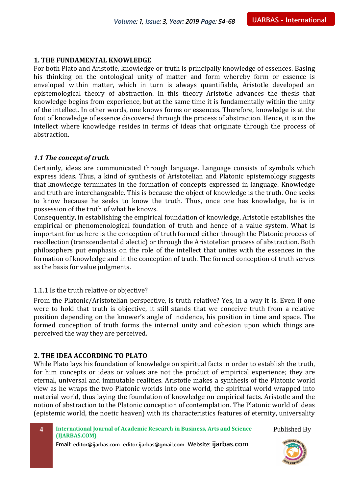#### **1. THE FUNDAMENTAL KNOWLEDGE**

For both Plato and Aristotle, knowledge or truth is principally knowledge of essences. Basing his thinking on the ontological unity of matter and form whereby form or essence is enveloped within matter, which in turn is always quantifiable, Aristotle developed an epistemological theory of abstraction. In this theory Aristotle advances the thesis that knowledge begins from experience, but at the same time it is fundamentally within the unity of the intellect. In other words, one knows forms or essences. Therefore, knowledge is at the foot of knowledge of essence discovered through the process of abstraction. Hence, it is in the intellect where knowledge resides in terms of ideas that originate through the process of abstraction.

#### *1.1 The concept of truth.*

Certainly, ideas are communicated through language. Language consists of symbols which express ideas. Thus, a kind of synthesis of Aristotelian and Platonic epistemology suggests that knowledge terminates in the formation of concepts expressed in language. Knowledge and truth are interchangeable. This is because the object of knowledge is the truth. One seeks to know because he seeks to know the truth. Thus, once one has knowledge, he is in possession of the truth of what he knows.

Consequently, in establishing the empirical foundation of knowledge, Aristotle establishes the empirical or phenomenological foundation of truth and hence of a value system. What is important for us here is the conception of truth formed either through the Platonic process of recollection (transcendental dialectic) or through the Aristotelian process of abstraction. Both philosophers put emphasis on the role of the intellect that unites with the essences in the formation of knowledge and in the conception of truth. The formed conception of truth serves as the basis for value judgments.

#### 1.1.1 Is the truth relative or objective?

From the Platonic/Aristotelian perspective, is truth relative? Yes, in a way it is. Even if one were to hold that truth is objective, it still stands that we conceive truth from a relative position depending on the knower's angle of incidence, his position in time and space. The formed conception of truth forms the internal unity and cohesion upon which things are perceived the way they are perceived.

#### **2. THE IDEA ACCORDING TO PLATO**

While Plato lays his foundation of knowledge on spiritual facts in order to establish the truth, for him concepts or ideas or values are not the product of empirical experience; they are eternal, universal and immutable realities. Aristotle makes a synthesis of the Platonic world view as he wraps the two Platonic worlds into one world, the spiritual world wrapped into material world, thus laying the foundation of knowledge on empirical facts. Aristotle and the notion of abstraction to the Platonic conception of contemplation. The Platonic world of ideas (epistemic world, the noetic heaven) with its characteristics features of eternity, universality

**4 International Journal of Academic Research in Business, Arts and Science (IJARBAS.COM)** Published By

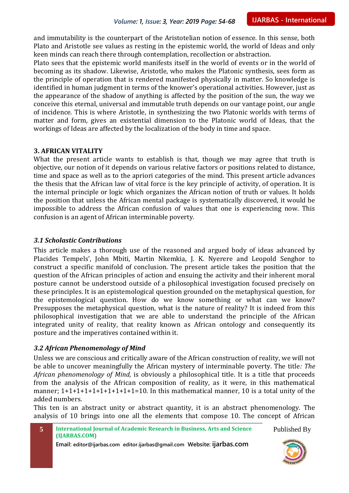and immutability is the counterpart of the Aristotelian notion of essence. In this sense, both Plato and Aristotle see values as resting in the epistemic world, the world of Ideas and only keen minds can reach there through contemplation, recollection or abstraction.

Plato sees that the epistemic world manifests itself in the world of events or in the world of becoming as its shadow. Likewise, Aristotle, who makes the Platonic synthesis, sees form as the principle of operation that is rendered manifested physically in matter. So knowledge is identified in human judgment in terms of the knower's operational activities. However, just as the appearance of the shadow of anything is affected by the position of the sun, the way we conceive this eternal, universal and immutable truth depends on our vantage point, our angle of incidence. This is where Aristotle, in synthesizing the two Platonic worlds with terms of matter and form, gives an existential dimension to the Platonic world of Ideas, that the workings of Ideas are affected by the localization of the body in time and space.

#### **3. AFRICAN VITALITY**

What the present article wants to establish is that, though we may agree that truth is objective, our notion of it depends on various relative factors or positions related to distance, time and space as well as to the apriori categories of the mind. This present article advances the thesis that the African law of vital force is the key principle of activity, of operation. It is the internal principle or logic which organizes the African notion of truth or values. It holds the position that unless the African mental package is systematically discovered, it would be impossible to address the African confusion of values that one is experiencing now. This confusion is an agent of African interminable poverty.

#### *3.1 Scholastic Contributions*

This article makes a thorough use of the reasoned and argued body of ideas advanced by Placides Tempels', John Mbiti, Martin Nkemkia, J. K. Nyerere and Leopold Senghor to construct a specific manifold of conclusion. The present article takes the position that the question of the African principles of action and ensuing the activity and their inherent moral posture cannot be understood outside of a philosophical investigation focused precisely on these principles. It is an epistemological question grounded on the metaphysical question, for the epistemological question. How do we know something or what can we know? Presupposes the metaphysical question, what is the nature of reality? It is indeed from this philosophical investigation that we are able to understand the principle of the African integrated unity of reality, that reality known as African ontology and consequently its posture and the imperatives contained within it.

#### *3.2 African Phenomenology of Mind*

Unless we are conscious and critically aware of the African construction of reality, we will not be able to uncover meaningfully the African mystery of interminable poverty. The title*: The African phenomenology of Mind,* is obviously a philosophical title. It is a title that proceeds from the analysis of the African composition of reality, as it were, in this mathematical manner;  $1+1+1+1+1+1+1+1+1+1=10$ . In this mathematical manner, 10 is a total unity of the added numbers.

This ten is an abstract unity or abstract quantity, it is an abstract phenomenology. The analysis of 10 brings into one all the elements that compose 10. The concept of African

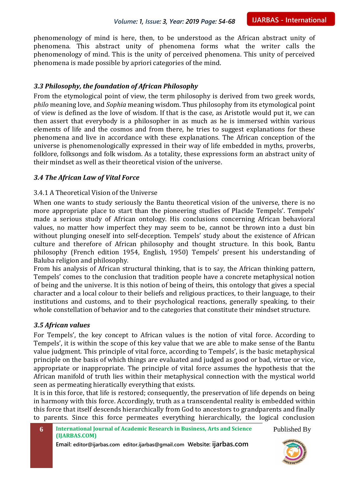phenomenology of mind is here, then, to be understood as the African abstract unity of phenomena. This abstract unity of phenomena forms what the writer calls the phenomenology of mind. This is the unity of perceived phenomena. This unity of perceived phenomena is made possible by apriori categories of the mind.

#### *3.3 Philosophy, the foundation of African Philosophy*

From the etymological point of view, the term philosophy is derived from two greek words, *philo* meaning love, and *Sophia* meaning wisdom. Thus philosophy from its etymological point of view is defined as the love of wisdom. If that is the case, as Aristotle would put it, we can then assert that everybody is a philosopher in as much as he is immersed within various elements of life and the cosmos and from there, he tries to suggest explanations for these phenomena and live in accordance with these explanations. The African conception of the universe is phenomenologically expressed in their way of life embedded in myths, proverbs, folklore, folksongs and folk wisdom. As a totality, these expressions form an abstract unity of their mindset as well as their theoretical vision of the universe.

#### *3.4 The African Law of Vital Force*

#### 3.4.1 A Theoretical Vision of the Universe

When one wants to study seriously the Bantu theoretical vision of the universe, there is no more appropriate place to start than the pioneering studies of Placide Tempels'. Tempels' made a serious study of African ontology. His conclusions concerning African behavioral values, no matter how imperfect they may seem to be, cannot be thrown into a dust bin without plunging oneself into self-deception. Tempels' study about the existence of African culture and therefore of African philosophy and thought structure. In this book, Bantu philosophy (French edition 1954, English, 1950) Tempels' present his understanding of Baluba religion and philosophy.

From his analysis of African structural thinking, that is to say, the African thinking pattern, Tempels' comes to the conclusion that tradition people have a concrete metaphysical notion of being and the universe. It is this notion of being of theirs, this ontology that gives a special character and a local colour to their beliefs and religious practices, to their language, to their institutions and customs, and to their psychological reactions, generally speaking, to their whole constellation of behavior and to the categories that constitute their mindset structure.

#### *3.5 African values*

For Tempels', the key concept to African values is the notion of vital force. According to Tempels', it is within the scope of this key value that we are able to make sense of the Bantu value judgment. This principle of vital force, according to Tempels', is the basic metaphysical principle on the basis of which things are evaluated and judged as good or bad, virtue or vice, appropriate or inappropriate. The principle of vital force assumes the hypothesis that the African manifold of truth lies within their metaphysical connection with the mystical world seen as permeating hieratically everything that exists.

It is in this force, that life is restored; consequently, the preservation of life depends on being in harmony with this force. Accordingly, truth as a transcendental reality is embedded within this force that itself descends hierarchically from God to ancestors to grandparents and finally to parents. Since this force permeates everything hierarchically, the logical conclusion

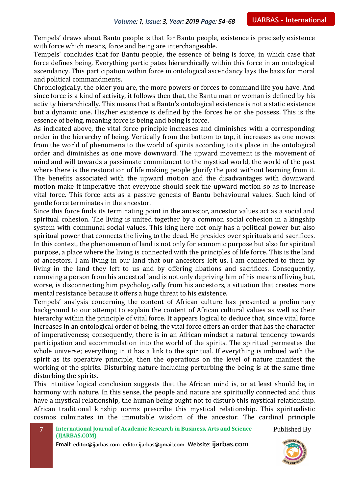Tempels' draws about Bantu people is that for Bantu people, existence is precisely existence with force which means, force and being are interchangeable.

Tempels' concludes that for Bantu people, the essence of being is force, in which case that force defines being. Everything participates hierarchically within this force in an ontological ascendancy. This participation within force in ontological ascendancy lays the basis for moral and political commandments.

Chronologically, the older you are, the more powers or forces to command life you have. And since force is a kind of activity, it follows then that, the Bantu man or woman is defined by his activity hierarchically. This means that a Bantu's ontological existence is not a static existence but a dynamic one. His/her existence is defined by the forces he or she possess. This is the essence of being, meaning force is being and being is force.

As indicated above, the vital force principle increases and diminishes with a corresponding order in the hierarchy of being. Vertically from the bottom to top, it increases as one moves from the world of phenomena to the world of spirits according to its place in the ontological order and diminishes as one move downward. The upward movement is the movement of mind and will towards a passionate commitment to the mystical world, the world of the past where there is the restoration of life making people glorify the past without learning from it. The benefits associated with the upward motion and the disadvantages with downward motion make it imperative that everyone should seek the upward motion so as to increase vital force. This force acts as a passive genesis of Bantu behavioural values. Such kind of gentle force terminates in the ancestor.

Since this force finds its terminating point in the ancestor, ancestor values act as a social and spiritual cohesion. The living is united together by a common social cohesion in a kingship system with communal social values. This king here not only has a political power but also spiritual power that connects the living to the dead. He presides over spirituals and sacrifices. In this context, the phenomenon of land is not only for economic purpose but also for spiritual purpose, a place where the living is connected with the principles of life force. This is the land of ancestors. I am living in our land that our ancestors left us. I am connected to them by living in the land they left to us and by offering libations and sacrifices. Consequently, removing a person from his ancestral land is not only depriving him of his means of living but, worse, is disconnecting him psychologically from his ancestors, a situation that creates more mental resistance because it offers a huge threat to his existence.

Tempels' analysis concerning the content of African culture has presented a preliminary background to our attempt to explain the content of African cultural values as well as their hierarchy within the principle of vital force. It appears logical to deduce that, since vital force increases in an ontological order of being, the vital force offers an order that has the character of imperativeness; consequently, there is in an African mindset a natural tendency towards participation and accommodation into the world of the spirits. The spiritual permeates the whole universe; everything in it has a link to the spiritual. If everything is imbued with the spirit as its operative principle, then the operations on the level of nature manifest the working of the spirits. Disturbing nature including perturbing the being is at the same time disturbing the spirits.

This intuitive logical conclusion suggests that the African mind is, or at least should be, in harmony with nature. In this sense, the people and nature are spiritually connected and thus have a mystical relationship, the human being ought not to disturb this mystical relationship. African traditional kinship norms prescribe this mystical relationship. This spiritualistic cosmos culminates in the immutable wisdom of the ancestor. The cardinal principle

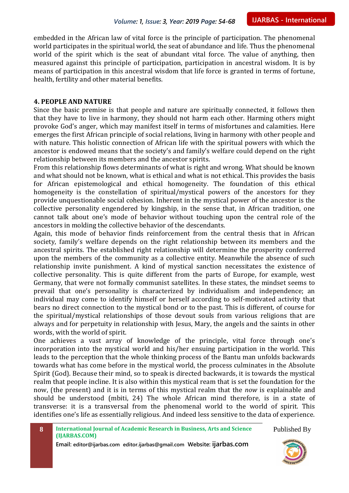embedded in the African law of vital force is the principle of participation. The phenomenal world participates in the spiritual world, the seat of abundance and life. Thus the phenomenal world of the spirit which is the seat of abundant vital force. The value of anything, then measured against this principle of participation, participation in ancestral wisdom. It is by means of participation in this ancestral wisdom that life force is granted in terms of fortune, health, fertility and other material benefits.

#### **4. PEOPLE AND NATURE**

Since the basic premise is that people and nature are spiritually connected, it follows then that they have to live in harmony, they should not harm each other. Harming others might provoke God's anger, which may manifest itself in terms of misfortunes and calamities. Here emerges the first African principle of social relations, living in harmony with other people and with nature. This holistic connection of African life with the spiritual powers with which the ancestor is endowed means that the society's and family's welfare could depend on the right relationship between its members and the ancestor spirits.

From this relationship flows determinants of what is right and wrong. What should be known and what should not be known, what is ethical and what is not ethical. This provides the basis for African epistemological and ethical homogeneity. The foundation of this ethical homogeneity is the constellation of spiritual/mystical powers of the ancestors for they provide unquestionable social cohesion. Inherent in the mystical power of the ancestor is the collective personality engendered by kingship, in the sense that, in African tradition, one cannot talk about one's mode of behavior without touching upon the central role of the ancestors in molding the collective behavior of the descendants.

Again, this mode of behavior finds reinforcement from the central thesis that in African society, family's welfare depends on the right relationship between its members and the ancestral spirits. The established right relationship will determine the prosperity conferred upon the members of the community as a collective entity. Meanwhile the absence of such relationship invite punishment. A kind of mystical sanction necessitates the existence of collective personality. This is quite different from the parts of Europe, for example, west Germany, that were not formally communist satellites. In these states, the mindset seems to prevail that one's personality is characterized by individualism and independence; an individual may come to identify himself or herself according to self-motivated activity that bears no direct connection to the mystical bond or to the past. This is different, of course for the spiritual/mystical relationships of those devout souls from various religions that are always and for perpetuity in relationship with Jesus, Mary, the angels and the saints in other words, with the world of spirit.

One achieves a vast array of knowledge of the principle, vital force through one's incorporation into the mystical world and his/her ensuing participation in the world. This leads to the perception that the whole thinking process of the Bantu man unfolds backwards towards what has come before in the mystical world, the process culminates in the Absolute Spirit (God). Because their mind, so to speak is directed backwards, it is towards the mystical realm that people incline. It is also within this mystical ream that is set the foundation for the now, (the present) and it is in terms of this mystical realm that the *now* is explainable and should be understood (mbiti, 24) The whole African mind therefore, is in a state of transverse: it is a transversal from the phenomenal world to the world of spirit. This identifies one's life as essentially religious. And indeed less sensitive to the data of experience.

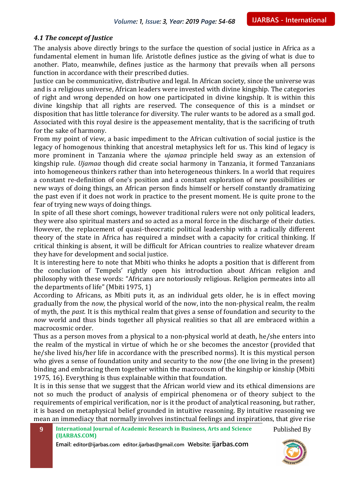#### *4.1 The concept of Justice*

The analysis above directly brings to the surface the question of social justice in Africa as a fundamental element in human life. Aristotle defines justice as the giving of what is due to another. Plato, meanwhile, defines justice as the harmony that prevails when all persons function in accordance with their prescribed duties.

Justice can be communicative, distributive and legal. In African society, since the universe was and is a religious universe, African leaders were invested with divine kingship. The categories of right and wrong depended on how one participated in divine kingship. It is within this divine kingship that all rights are reserved. The consequence of this is a mindset or disposition that has little tolerance for diversity. The ruler wants to be adored as a small god. Associated with this royal desire is the appeasement mentality, that is the sacrificing of truth for the sake of harmony.

From my point of view, a basic impediment to the African cultivation of social justice is the legacy of homogenous thinking that ancestral metaphysics left for us. This kind of legacy is more prominent in Tanzania where the *ujamaa* principle held sway as an extension of kingship rule. *Ujamaa* though did create social harmony in Tanzania, it formed Tanzanians into homogeneous thinkers rather than into heterogeneous thinkers. In a world that requires a constant re-definition of one's position and a constant exploration of new possibilities or new ways of doing things, an African person finds himself or herself constantly dramatizing the past even if it does not work in practice to the present moment. He is quite prone to the fear of trying new ways of doing things.

In spite of all these short comings, however traditional rulers were not only political leaders, they were also spiritual masters and so acted as a moral force in the discharge of their duties. However, the replacement of quasi-theocratic political leadership with a radically different theory of the state in Africa has required a mindset with a capacity for critical thinking. If critical thinking is absent, it will be difficult for African countries to realize whatever dream they have for development and social justice.

It is interesting here to note that Mbiti who thinks he adopts a position that is different from the conclusion of Tempels' rightly open his introduction about African religion and philosophy with these words: "Africans are notoriously religious. Religion permeates into all the departments of life" (Mbiti 1975, 1)

According to Africans, as Mbiti puts it, as an individual gets older, he is in effect moving gradually from the *now,* the physical world of the now, into the non-physical realm, the realm of myth, the *past.* It is this mythical realm that gives a sense of foundation and security to the *now* world and thus binds together all physical realities so that all are embraced within a macrocosmic order.

Thus as a person moves from a physical to a non-physical world at death, he/she enters into the realm of the mystical in virtue of which he or she becomes the ancestor (provided that he/she lived his/her life in accordance with the prescribed norms). It is this mystical person who gives a sense of foundation unity and security to the *now* (the one living in the present) binding and embracing them together within the macrocosm of the kingship or kinship (Mbiti 1975, 16). Everything is thus explainable within that foundation.

It is in this sense that we suggest that the African world view and its ethical dimensions are not so much the product of analysis of empirical phenomena or of theory subject to the requirements of empirical verification, nor is it the product of analytical reasoning, but rather, it is based on metaphysical belief grounded in intuitive reasoning. By intuitive reasoning we mean an immediacy that normally involves instinctual feelings and inspirations, that give rise

**9 International Journal of Academic Research in Business, Arts and Science (IJARBAS.COM)** Published By

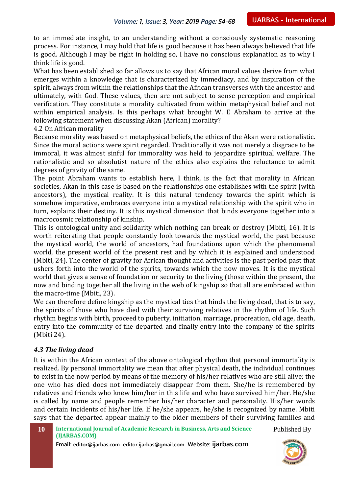to an immediate insight, to an understanding without a consciously systematic reasoning process. For instance, I may hold that life is good because it has been always believed that life is good. Although I may be right in holding so, I have no conscious explanation as to why I think life is good.

What has been established so far allows us to say that African moral values derive from what emerges within a knowledge that is characterized by immediacy, and by inspiration of the spirit, always from within the relationships that the African transverses with the ancestor and ultimately, with God. These values, then are not subject to sense perception and empirical verification. They constitute a morality cultivated from within metaphysical belief and not within empirical analysis. Is this perhaps what brought W. E Abraham to arrive at the following statement when discussing Akan (African) morality?

4.2 On African morality

Because morality was based on metaphysical beliefs, the ethics of the Akan were rationalistic. Since the moral actions were spirit regarded. Traditionally it was not merely a disgrace to be immoral, it was almost sinful for immorality was held to jeopardize spiritual welfare. The rationalistic and so absolutist nature of the ethics also explains the reluctance to admit degrees of gravity of the same.

The point Abraham wants to establish here, I think, is the fact that morality in African societies, Akan in this case is based on the relationships one establishes with the spirit (with ancestors), the mystical reality. It is this natural tendency towards the spirit which is somehow imperative, embraces everyone into a mystical relationship with the spirit who in turn, explains their destiny. It is this mystical dimension that binds everyone together into a macrocosmic relationship of kinship.

This is ontological unity and solidarity which nothing can break or destroy (Mbiti, 16). It is worth reiterating that people constantly look towards the mystical world, the past because the mystical world, the world of ancestors, had foundations upon which the phenomenal world, the present world of the present rest and by which it is explained and understood (Mbiti, 24). The center of gravity for African thought and activities is the past period past that ushers forth into the world of the spirits, towards which the now moves. It is the mystical world that gives a sense of foundation or security to the living (those within the present, the now and binding together all the living in the web of kingship so that all are embraced within the macro-time (Mbiti, 23).

We can therefore define kingship as the mystical ties that binds the living dead, that is to say, the spirits of those who have died with their surviving relatives in the rhythm of life. Such rhythm begins with birth, proceed to puberty, initiation, marriage, procreation, old age, death, entry into the community of the departed and finally entry into the company of the spirits (Mbiti 24).

#### *4.3 The living dead*

It is within the African context of the above ontological rhythm that personal immortality is realized. By personal immortality we mean that after physical death, the individual continues to exist in the now period by means of the memory of his/her relatives who are still alive; the one who has died does not immediately disappear from them. She/he is remembered by relatives and friends who knew him/her in this life and who have survived him/her. He/she is called by name and people remember his/her character and personality. His/her words and certain incidents of his/her life. If he/she appears, he/she is recognized by name. Mbiti says that the departed appear mainly to the older members of their surviving families and

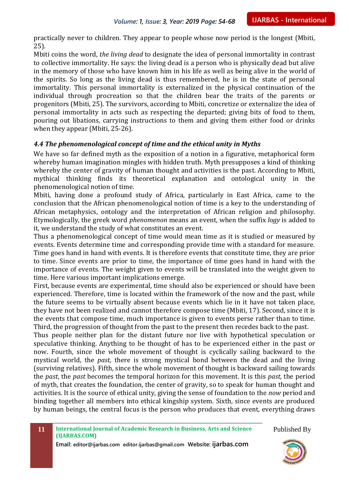practically never to children. They appear to people whose now period is the longest (Mbiti, 25).

Mbiti coins the word, *the living dead* to designate the idea of personal immortality in contrast to collective immortality. He says: the living dead is a person who is physically dead but alive in the memory of those who have known him in his life as well as being alive in the world of the spirits. So long as the living dead is thus remembered, he is in the state of personal immortality. This personal immortality is externalized in the physical continuation of the individual through procreation so that the children bear the traits of the parents or progenitors (Mbiti, 25). The survivors, according to Mbiti, concretize or externalize the idea of personal immortality in acts such as respecting the departed; giving bits of food to them, pouring out libations, carrying instructions to them and giving them either food or drinks when they appear (Mbiti, 25-26).

#### *4.4 The phenomenological concept of time and the ethical unity in Myths*

We have so far defined myth as the exposition of a notion in a figurative, metaphorical form whereby human imagination mingles with hidden truth. Myth presupposes a kind of thinking whereby the center of gravity of human thought and activities is the past. According to Mbiti, mythical thinking finds its theoretical explanation and ontological unity in the phenomenological notion of time.

Mbiti, having done a profound study of Africa, particularly in East Africa, came to the conclusion that the African phenomenological notion of time is a key to the understanding of African metaphysics, ontology and the interpretation of African religion and philosophy. Etymologically, the greek word *phenomenon* means an event, when the suffix *logy* is added to it, we understand the study of what constitutes an event.

Thus a phenomenological concept of time would mean time as it is studied or measured by events. Events determine time and corresponding provide time with a standard for measure. Time goes hand in hand with events. It is therefore events that constitute time, they are prior to time. Since events are prior to time, the importance of time goes hand in hand with the importance of events. The weight given to events will be translated into the weight given to time. Here various important implications emerge.

First, because events are experimental, time should also be experienced or should have been experienced. Therefore, time is located within the framework of the now and the past, while the future seems to be virtually absent because events which lie in it have not taken place, they have not been realized and cannot therefore compose time (Mbiti, 17). Second, since it is the events that compose time, much importance is given to events perse rather than to time. Third, the progression of thought from the past to the present then recedes back to the past.

Thus people neither plan for the distant future nor live with hypothetical speculation or speculative thinking. Anything to be thought of has to be experienced either in the past or now. Fourth, since the whole movement of thought is cyclically sailing backward to the mystical world, the *past,* there is strong mystical bond between the dead and the living (surviving relatives). Fifth, since the whole movement of thought is backward sailing towards the *past*, the *past* becomes the temporal horizon for this movement. It is this *past,* the period of myth, that creates the foundation, the center of gravity, so to speak for human thought and activities. It is the source of ethical unity, giving the sense of foundation to the *now* period and binding together all members into ethical kingship system. Sixth, since events are produced by human beings, the central focus is the person who produces that event, everything draws

Published By

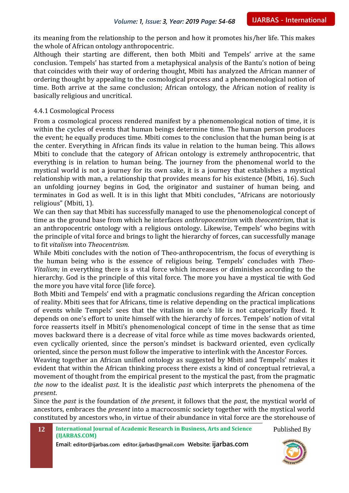its meaning from the relationship to the person and how it promotes his/her life. This makes the whole of African ontology anthropocentric.

Although their starting are different, then both Mbiti and Tempels' arrive at the same conclusion. Tempels' has started from a metaphysical analysis of the Bantu's notion of being that coincides with their way of ordering thought, Mbiti has analyzed the African manner of ordering thought by appealing to the cosmological process and a phenomenological notion of time. Both arrive at the same conclusion; African ontology, the African notion of reality is basically religious and uncritical.

#### 4.4.1 Cosmological Process

From a cosmological process rendered manifest by a phenomenological notion of time, it is within the cycles of events that human beings determine time. The human person produces the event; he equally produces time. Mbiti comes to the conclusion that the human being is at the center. Everything in African finds its value in relation to the human being. This allows Mbiti to conclude that the category of African ontology is extremely anthropocentric, that everything is in relation to human being. The journey from the phenomenal world to the mystical world is not a journey for its own sake, it is a journey that establishes a mystical relationship with man, a relationship that provides means for his existence (Mbiti, 16). Such an unfolding journey begins in God, the originator and sustainer of human being, and terminates in God as well. It is in this light that Mbiti concludes, "Africans are notoriously religious" (Mbiti, 1).

We can then say that Mbiti has successfully managed to use the phenomenological concept of time as the ground base from which he interfaces *anthropocentrism* with *theocentrism,* that is an anthropocentric ontology with a religious ontology. Likewise, Tempels' who begins with the principle of vital force and brings to light the hierarchy of forces, can successfully manage to fit *vitalism* into *Theocentrism.*

While Mbiti concludes with the notion of Theo-anthropocentrism, the focus of everything is the human being who is the essence of religious being. Tempels' concludes with *Theo-Vitalism;* in everything there is a vital force which increases or diminishes according to the hierarchy. God is the principle of this vital force. The more you have a mystical tie with God the more you have vital force (life force).

Both Mbiti and Tempels' end with a pragmatic conclusions regarding the African conception of reality. Mbiti sees that for Africans, time is relative depending on the practical implications of events while Tempels' sees that the vitalism in one's life is not categorically fixed. It depends on one's effort to unite himself with the hierarchy of forces. Tempels' notion of vital force reasserts itself in Mbiti's phenomenological concept of time in the sense that as time moves backward there is a decrease of vital force while as time moves backwards oriented, even cyclically oriented, since the person's mindset is backward oriented, even cyclically oriented, since the person must follow the imperative to interlink with the Ancestor Forces.

Weaving together an African unified ontology as suggested by Mbiti and Tempels' makes it evident that within the African thinking process there exists a kind of conceptual retrieval, a movement of thought from the empirical present to the mystical the past, from the pragmatic *the now* to the idealist *past*. It is the idealistic *past* which interprets the phenomena of the *present*.

Since the *past* is the foundation of *the present*, it follows that the *past*, the mystical world of ancestors, embraces the *present* into a macrocosmic society together with the mystical world constituted by ancestors who, in virtue of their abundance in vital force are the storehouse of

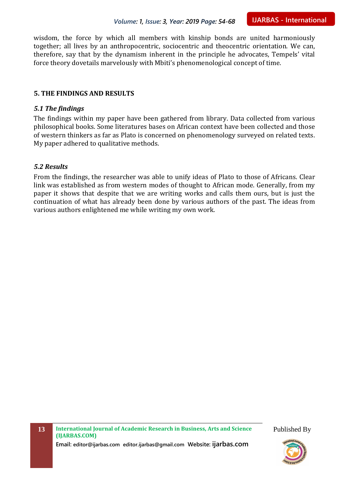wisdom, the force by which all members with kinship bonds are united harmoniously together; all lives by an anthropocentric, sociocentric and theocentric orientation. We can, therefore, say that by the dynamism inherent in the principle he advocates, Tempels' vital force theory dovetails marvelously with Mbiti's phenomenological concept of time.

#### **5. THE FINDINGS AND RESULTS**

#### *5.1 The findings*

The findings within my paper have been gathered from library. Data collected from various philosophical books. Some literatures bases on African context have been collected and those of western thinkers as far as Plato is concerned on phenomenology surveyed on related texts. My paper adhered to qualitative methods.

#### *5.2 Results*

From the findings, the researcher was able to unify ideas of Plato to those of Africans. Clear link was established as from western modes of thought to African mode. Generally, from my paper it shows that despite that we are writing works and calls them ours, but is just the continuation of what has already been done by various authors of the past. The ideas from various authors enlightened me while writing my own work.

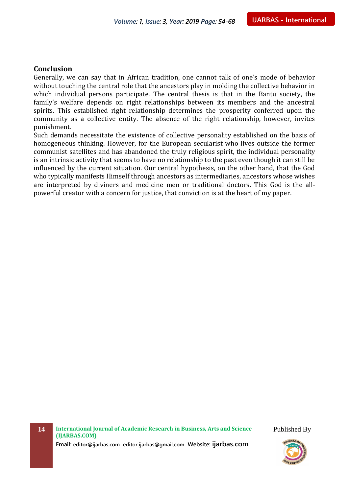#### **Conclusion**

Generally, we can say that in African tradition, one cannot talk of one's mode of behavior without touching the central role that the ancestors play in molding the collective behavior in which individual persons participate. The central thesis is that in the Bantu society, the family's welfare depends on right relationships between its members and the ancestral spirits. This established right relationship determines the prosperity conferred upon the community as a collective entity. The absence of the right relationship, however, invites punishment.

Such demands necessitate the existence of collective personality established on the basis of homogeneous thinking. However, for the European secularist who lives outside the former communist satellites and has abandoned the truly religious spirit, the individual personality is an intrinsic activity that seems to have no relationship to the past even though it can still be influenced by the current situation. Our central hypothesis, on the other hand, that the God who typically manifests Himself through ancestors as intermediaries, ancestors whose wishes are interpreted by diviners and medicine men or traditional doctors. This God is the allpowerful creator with a concern for justice, that conviction is at the heart of my paper.